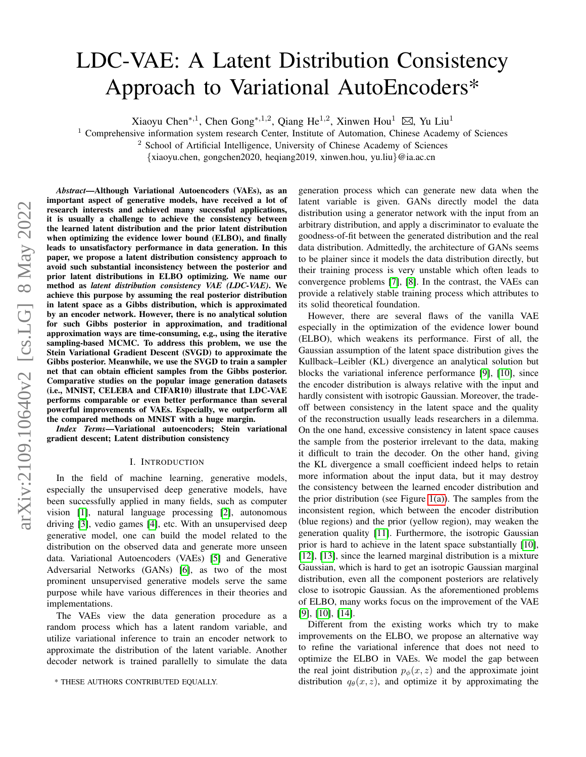# LDC-VAE: A Latent Distribution Consistency Approach to Variational AutoEncoders\*

Xiaoyu Chen<sup>∗,1</sup>, Chen Gong<sup>∗,1,2</sup>, Qiang He<sup>1,2</sup>, Xinwen Hou<sup>1</sup> ⊠, Yu Liu<sup>1</sup>

 $1$  Comprehensive information system research Center, Institute of Automation, Chinese Academy of Sciences

{xiaoyu.chen, gongchen2020, heqiang2019, xinwen.hou, yu.liu}@ia.ac.cn

*Abstract*—Although Variational Autoencoders (VAEs), as an important aspect of generative models, have received a lot of research interests and achieved many successful applications, it is usually a challenge to achieve the consistency between the learned latent distribution and the prior latent distribution when optimizing the evidence lower bound (ELBO), and finally leads to unsatisfactory performance in data generation. In this paper, we propose a latent distribution consistency approach to avoid such substantial inconsistency between the posterior and prior latent distributions in ELBO optimizing. We name our method as *latent distribution consistency VAE (LDC-VAE)*. We achieve this purpose by assuming the real posterior distribution in latent space as a Gibbs distribution, which is approximated by an encoder network. However, there is no analytical solution for such Gibbs posterior in approximation, and traditional approximation ways are time-consuming, e.g., using the iterative sampling-based MCMC. To address this problem, we use the Stein Variational Gradient Descent (SVGD) to approximate the Gibbs posterior. Meanwhile, we use the SVGD to train a sampler net that can obtain efficient samples from the Gibbs posterior. Comparative studies on the popular image generation datasets (i.e., MNIST, CELEBA and CIFAR10) illustrate that LDC-VAE performs comparable or even better performance than several powerful improvements of VAEs. Especially, we outperform all the compared methods on MNIST with a huge margin.

*Index Terms*—Variational autoencoders; Stein variational gradient descent; Latent distribution consistency

### I. INTRODUCTION

In the field of machine learning, generative models, especially the unsupervised deep generative models, have been successfully applied in many fields, such as computer vision [\[1\]](#page-7-0), natural language processing [\[2\]](#page-7-1), autonomous driving [\[3\]](#page-7-2), vedio games [\[4\]](#page-7-3), etc. With an unsupervised deep generative model, one can build the model related to the distribution on the observed data and generate more unseen data. Variational Autoencoders (VAEs) [\[5\]](#page-7-4) and Generative Adversarial Networks (GANs) [\[6\]](#page-7-5), as two of the most prominent unsupervised generative models serve the same purpose while have various differences in their theories and implementations.

The VAEs view the data generation procedure as a random process which has a latent random variable, and utilize variational inference to train an encoder network to approximate the distribution of the latent variable. Another decoder network is trained parallelly to simulate the data

\* THESE AUTHORS CONTRIBUTED EQUALLY.

generation process which can generate new data when the latent variable is given. GANs directly model the data distribution using a generator network with the input from an arbitrary distribution, and apply a discriminator to evaluate the goodness-of-fit between the generated distribution and the real data distribution. Admittedly, the architecture of GANs seems to be plainer since it models the data distribution directly, but their training process is very unstable which often leads to convergence problems [\[7\]](#page-7-6), [\[8\]](#page-7-7). In the contrast, the VAEs can provide a relatively stable training process which attributes to its solid theoretical foundation.

However, there are several flaws of the vanilla VAE especially in the optimization of the evidence lower bound (ELBO), which weakens its performance. First of all, the Gaussian assumption of the latent space distribution gives the Kullback–Leibler (KL) divergence an analytical solution but blocks the variational inference performance [\[9\]](#page-7-8), [\[10\]](#page-7-9), since the encoder distribution is always relative with the input and hardly consistent with isotropic Gaussian. Moreover, the tradeoff between consistency in the latent space and the quality of the reconstruction usually leads researchers in a dilemma. On the one hand, excessive consistency in latent space causes the sample from the posterior irrelevant to the data, making it difficult to train the decoder. On the other hand, giving the KL divergence a small coefficient indeed helps to retain more information about the input data, but it may destroy the consistency between the learned encoder distribution and the prior distribution (see Figure  $1(a)$ ). The samples from the inconsistent region, which between the encoder distribution (blue regions) and the prior (yellow region), may weaken the generation quality [\[11\]](#page-7-10). Furthermore, the isotropic Gaussian prior is hard to achieve in the latent space substantially [\[10\]](#page-7-9), [\[12\]](#page-7-11), [\[13\]](#page-7-12), since the learned marginal distribution is a mixture Gaussian, which is hard to get an isotropic Gaussian marginal distribution, even all the component posteriors are relatively close to isotropic Gaussian. As the aforementioned problems of ELBO, many works focus on the improvement of the VAE [\[9\]](#page-7-8), [\[10\]](#page-7-9), [\[14\]](#page-7-13).

Different from the existing works which try to make improvements on the ELBO, we propose an alternative way to refine the variational inference that does not need to optimize the ELBO in VAEs. We model the gap between the real joint distribution  $p_{\phi}(x, z)$  and the approximate joint distribution  $q_{\theta}(x, z)$ , and optimize it by approximating the

<sup>2</sup> School of Artificial Intelligence, University of Chinese Academy of Sciences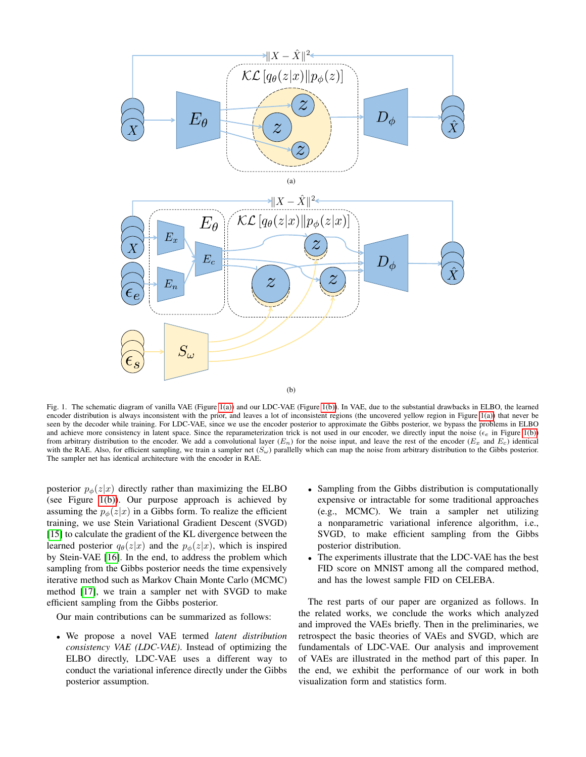<span id="page-1-0"></span>

<span id="page-1-1"></span>Fig. 1. The schematic diagram of vanilla VAE (Figure [1\(a\)\)](#page-1-0) and our LDC-VAE (Figure [1\(b\)\)](#page-1-1). In VAE, due to the substantial drawbacks in ELBO, the learned encoder distribution is always inconsistent with the prior, and leaves a lot of inconsistent regions (the uncovered yellow region in Figure [1\(a\)\)](#page-1-0) that never be seen by the decoder while training. For LDC-VAE, since we use the encoder posterior to approximate the Gibbs posterior, we bypass the problems in ELBO and achieve more consistency in latent space. Since the reparameterization trick is not used in our encoder, we directly input the noise ( $\epsilon_e$  in Figure [1\(b\)\)](#page-1-1) from arbitrary distribution to the encoder. We add a convolutional layer  $(E_n)$  for the noise input, and leave the rest of the encoder  $(E_x$  and  $E_c)$  identical with the RAE. Also, for efficient sampling, we train a sampler net  $(S_\omega)$  parallelly which can map the noise from arbitrary distribution to the Gibbs posterior. The sampler net has identical architecture with the encoder in RAE.

posterior  $p_{\phi}(z|x)$  directly rather than maximizing the ELBO (see Figure [1\(b\)\)](#page-1-1). Our purpose approach is achieved by assuming the  $p_{\phi}(z|x)$  in a Gibbs form. To realize the efficient training, we use Stein Variational Gradient Descent (SVGD) [\[15\]](#page-7-14) to calculate the gradient of the KL divergence between the learned posterior  $q_{\theta}(z|x)$  and the  $p_{\phi}(z|x)$ , which is inspired by Stein-VAE [\[16\]](#page-7-15). In the end, to address the problem which sampling from the Gibbs posterior needs the time expensively iterative method such as Markov Chain Monte Carlo (MCMC) method [\[17\]](#page-7-16), we train a sampler net with SVGD to make efficient sampling from the Gibbs posterior.

Our main contributions can be summarized as follows:

• We propose a novel VAE termed *latent distribution consistency VAE (LDC-VAE)*. Instead of optimizing the ELBO directly, LDC-VAE uses a different way to conduct the variational inference directly under the Gibbs posterior assumption.

- Sampling from the Gibbs distribution is computationally expensive or intractable for some traditional approaches (e.g., MCMC). We train a sampler net utilizing a nonparametric variational inference algorithm, i.e., SVGD, to make efficient sampling from the Gibbs posterior distribution.
- The experiments illustrate that the LDC-VAE has the best FID score on MNIST among all the compared method, and has the lowest sample FID on CELEBA.

The rest parts of our paper are organized as follows. In the related works, we conclude the works which analyzed and improved the VAEs briefly. Then in the preliminaries, we retrospect the basic theories of VAEs and SVGD, which are fundamentals of LDC-VAE. Our analysis and improvement of VAEs are illustrated in the method part of this paper. In the end, we exhibit the performance of our work in both visualization form and statistics form.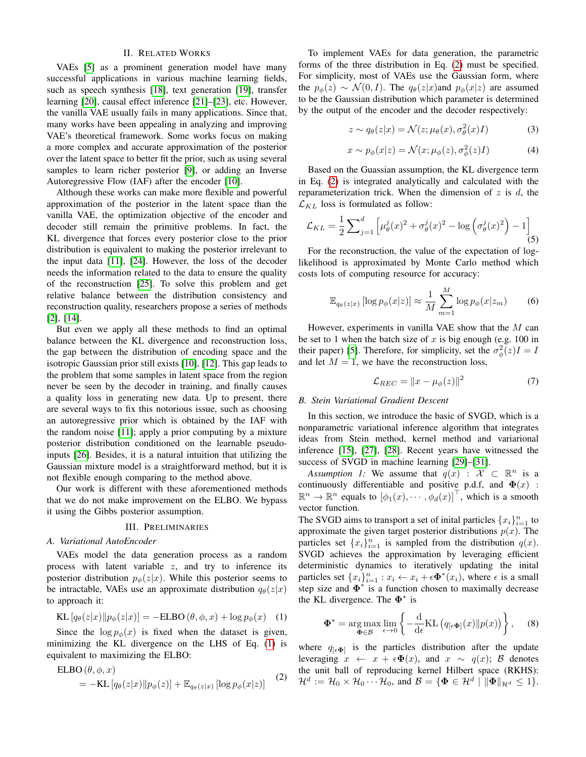# II. RELATED WORKS

VAEs [\[5\]](#page-7-4) as a prominent generation model have many successful applications in various machine learning fields, such as speech synthesis [\[18\]](#page-7-17), text generation [\[19\]](#page-7-18), transfer learning [\[20\]](#page-7-19), causal effect inference [\[21\]](#page-7-20)–[\[23\]](#page-7-21), etc. However, the vanilla VAE usually fails in many applications. Since that, many works have been appealing in analyzing and improving VAE's theoretical framework. Some works focus on making a more complex and accurate approximation of the posterior over the latent space to better fit the prior, such as using several samples to learn richer posterior [\[9\]](#page-7-8), or adding an Inverse Autoregressive Flow (IAF) after the encoder [\[10\]](#page-7-9).

Although these works can make more flexible and powerful approximation of the posterior in the latent space than the vanilla VAE, the optimization objective of the encoder and decoder still remain the primitive problems. In fact, the KL divergence that forces every posterior close to the prior distribution is equivalent to making the posterior irrelevant to the input data [\[11\]](#page-7-10), [\[24\]](#page-7-22). However, the loss of the decoder needs the information related to the data to ensure the quality of the reconstruction [\[25\]](#page-7-23). To solve this problem and get relative balance between the distribution consistency and reconstruction quality, researchers propose a series of methods [\[2\]](#page-7-1), [\[14\]](#page-7-13).

But even we apply all these methods to find an optimal balance between the KL divergence and reconstruction loss, the gap between the distribution of encoding space and the isotropic Gaussian prior still exists [\[10\]](#page-7-9), [\[12\]](#page-7-11). This gap leads to the problem that some samples in latent space from the region never be seen by the decoder in training, and finally causes a quality loss in generating new data. Up to present, there are several ways to fix this notorious issue, such as choosing an autoregressive prior which is obtained by the IAF with the random noise [\[11\]](#page-7-10); apply a prior computing by a mixture posterior distribution conditioned on the learnable pseudoinputs [\[26\]](#page-7-24). Besides, it is a natural intuition that utilizing the Gaussian mixture model is a straightforward method, but it is not flexible enough comparing to the method above.

Our work is different with these aforementioned methods that we do not make improvement on the ELBO. We bypass it using the Gibbs posterior assumption.

#### III. PRELIMINARIES

#### *A. Variational AutoEncoder*

VAEs model the data generation process as a random process with latent variable  $z$ , and try to inference its posterior distribution  $p_{\phi}(z|x)$ . While this posterior seems to be intractable, VAEs use an approximate distribution  $q_{\theta}(z|x)$ to approach it:

<span id="page-2-0"></span>
$$
KL\left[q_{\theta}(z|x)\|p_{\phi}(z|x)\right] = -ELBO\left(\theta, \phi, x\right) + \log p_{\phi}(x) \quad (1)
$$

Since the  $\log p_{\phi}(x)$  is fixed when the dataset is given, minimizing the KL divergence on the LHS of Eq. [\(1\)](#page-2-0) is equivalent to maximizing the ELBO:

<span id="page-2-1"></span>
$$
\begin{aligned} \text{ELBO} \left( \theta, \phi, x \right) \\ &= -\text{KL} \left[ q_\theta(z|x) \| p_\phi(z) \right] + \mathbb{E}_{q_\theta(z|x)} \left[ \log p_\phi(x|z) \right] \end{aligned} \tag{2}
$$

To implement VAEs for data generation, the parametric forms of the three distribution in Eq. [\(2\)](#page-2-1) must be specified. For simplicity, most of VAEs use the Gaussian form, where the  $p_{\phi}(z) \sim \mathcal{N}(0, I)$ . The  $q_{\theta}(z|x)$  and  $p_{\phi}(x|z)$  are assumed to be the Gaussian distribution which parameter is determined by the output of the encoder and the decoder respectively:

$$
z \sim q_{\theta}(z|x) = \mathcal{N}(z; \mu_{\theta}(x), \sigma_{\theta}^{2}(x)I)
$$
 (3)

$$
x \sim p_{\phi}(x|z) = \mathcal{N}(x; \mu_{\phi}(z), \sigma_{\phi}^{2}(z)I)
$$
 (4)

Based on the Guassian assumption, the KL divergence term in Eq. [\(2\)](#page-2-1) is integrated analytically and calculated with the reparameterization trick. When the dimension of  $z$  is  $d$ , the  $\mathcal{L}_{KL}$  loss is formulated as follow:

$$
\mathcal{L}_{KL} = \frac{1}{2} \sum_{j=1}^{d} \left[ \mu_{\theta}^{j}(x)^{2} + \sigma_{\theta}^{j}(x)^{2} - \log \left( \sigma_{\theta}^{j}(x)^{2} \right) - 1 \right]
$$
\n(5)

For the reconstruction, the value of the expectation of loglikelihood is approximated by Monte Carlo method which costs lots of computing resource for accuracy:

$$
\mathbb{E}_{q_{\theta}(z|x)}\left[\log p_{\phi}(x|z)\right] \approx \frac{1}{M} \sum_{m=1}^{M} \log p_{\phi}(x|z_m) \tag{6}
$$

However, experiments in vanilla VAE show that the M can be set to 1 when the batch size of  $x$  is big enough (e.g. 100 in their paper) [\[5\]](#page-7-4). Therefore, for simplicity, set the  $\sigma_{\phi}^2(z)I = I$ and let  $M = 1$ , we have the reconstruction loss,

$$
\mathcal{L}_{REC} = ||x - \mu_{\phi}(z)||^2 \tag{7}
$$

### *B. Stein Variational Gradient Descent*

In this section, we introduce the basic of SVGD, which is a nonparametric variational inference algorithm that integrates ideas from Stein method, kernel method and variarional inference [\[15\]](#page-7-14), [\[27\]](#page-7-25), [\[28\]](#page-7-26). Recent years have witnessed the success of SVGD in machine learning [\[29\]](#page-7-27)–[\[31\]](#page-7-28).

*Assumption 1:* We assume that  $q(x)$  :  $\mathcal{X} \subset \mathbb{R}^n$  is a continuously differentiable and positive p.d.f, and  $\Phi(x)$ :  $\mathbb{R}^n \to \mathbb{R}^n$  equals to  $[\phi_1(x), \cdots, \phi_d(x)]^\top$ , which is a smooth vector function.

The SVGD aims to transport a set of initial particles  $\{x_i\}_{i=1}^n$  to approximate the given target posterior distributions  $p(x)$ . The particles set  $\{x_i\}_{i=1}^n$  is sampled from the distribution  $q(x)$ . SVGD achieves the approximation by leveraging efficient deterministic dynamics to iteratively updating the inital particles set  $\{x_i\}_{i=1}^n : x_i \leftarrow x_i + \epsilon \Phi^*(x_i)$ , where  $\epsilon$  is a small step size and  $\Phi^*$  is a function chosen to maximally decrease the KL divergence. The  $\Phi^*$  is

<span id="page-2-2"></span>
$$
\Phi^* = \underset{\Phi \in \mathcal{B}}{\arg \max} \lim_{\epsilon \to 0} \left\{ -\frac{d}{d\epsilon} KL \left( q_{[\epsilon \Phi]}(x) \| p(x) \right) \right\}, \quad (8)
$$

where  $q_{\lbrack \epsilon \Phi]}$  is the particles distribution after the update leveraging  $x \leftarrow x + \epsilon \Phi(x)$ , and  $x \sim q(x)$ ; B denotes the unit ball of reproducing kernel Hilbert space (RKHS):  $\mathcal{H}^d:=\mathcal{H}_0\times\mathcal{H}_0\cdots\mathcal{H}_0, \text{ and } \mathcal{B}=\{\pmb{\Phi}\in\mathcal{H}^d\,\,|\,\,\|\pmb{\Phi}\|_{\mathcal{H}^d}\leq 1\}.$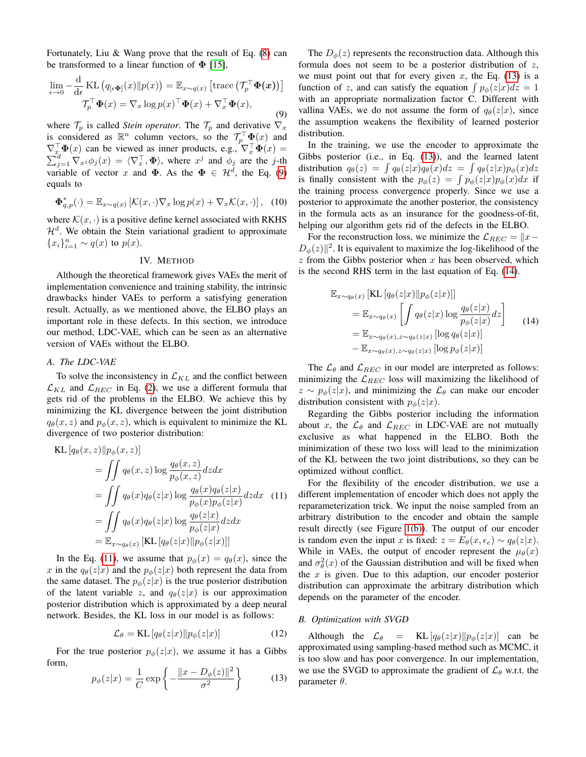Fortunately, Liu & Wang prove that the result of Eq. [\(8\)](#page-2-2) can be transformed to a linear function of  $\Phi$  [\[15\]](#page-7-14),

<span id="page-3-0"></span>
$$
\lim_{\epsilon \to 0} -\frac{\mathrm{d}}{\mathrm{d}\epsilon} \mathrm{KL} \left( q_{[\epsilon \Phi]}(x) \| p(x) \right) = \mathbb{E}_{x \sim q(x)} \left[ \text{trace} \left( \mathcal{T}_p^\top \Phi(x) \right) \right] \n\mathcal{T}_p^\top \Phi(x) = \nabla_x \log p(x)^\top \Phi(x) + \nabla_x^\top \Phi(x),
$$
\n(9)

where  $\mathcal{T}_p$  is called *Stein operator*. The  $\mathcal{T}_p$  and derivative  $\nabla_x$ is considered as  $\mathbb{R}^n$  column vectors, so the  $\mathcal{T}_p^{\top} \Phi(x)$  and  $\nabla_x^{\top} \mathbf{\Phi}(x)$  can be viewed as inner products, e.g.,  $\nabla_x^{\top} \mathbf{\Phi}(x) = \sum_{j=1}^d \nabla_{x^j} \phi_j(x) = \langle \nabla_x^{\top}, \mathbf{\Phi} \rangle$ , where  $x^j$  and  $\phi_j$  are the j-th variable of vector x and  $\Phi$ . As the  $\Phi \in \mathcal{H}^d$ , the Eq. [\(9\)](#page-3-0) equals to

$$
\Phi_{q,p}^*(\cdot) = \mathbb{E}_{x \sim q(x)} \left[ \mathcal{K}(x, \cdot) \nabla_x \log p(x) + \nabla_x \mathcal{K}(x, \cdot) \right], \tag{10}
$$

where  $\mathcal{K}(x, \cdot)$  is a positive define kernel associated with RKHS  $\mathcal{H}^d$ . We obtain the Stein variational gradient to approximate  ${x_i}_{i=1}^n \sim q(x)$  to  $p(x)$ .

#### IV. METHOD

Although the theoretical framework gives VAEs the merit of implementation convenience and training stability, the intrinsic drawbacks hinder VAEs to perform a satisfying generation result. Actually, as we mentioned above, the ELBO plays an important role in these defects. In this section, we introduce our method, LDC-VAE, which can be seen as an alternative version of VAEs without the ELBO.

# *A. The LDC-VAE*

To solve the inconsistency in  $\mathcal{L}_{KL}$  and the conflict between  $\mathcal{L}_{KL}$  and  $\mathcal{L}_{REC}$  in Eq. [\(2\)](#page-2-1), we use a different formula that gets rid of the problems in the ELBO. We achieve this by minimizing the KL divergence between the joint distribution  $q_{\theta}(x, z)$  and  $p_{\phi}(x, z)$ , which is equivalent to minimize the KL divergence of two posterior distribution:

<span id="page-3-1"></span>
$$
\begin{split} \text{KL}\left[q_{\theta}(x,z)\|p_{\phi}(x,z)\right] \\ &= \iint q_{\theta}(x,z)\log\frac{q_{\theta}(x,z)}{p_{\phi}(x,z)}dzdx \\ &= \iint q_{\theta}(x)q_{\theta}(z|x)\log\frac{q_{\theta}(x)q_{\theta}(z|x)}{p_{\phi}(x)p_{\phi}(z|x)}dzdx \quad (11) \\ &= \iint q_{\theta}(x)q_{\theta}(z|x)\log\frac{q_{\theta}(z|x)}{p_{\phi}(z|x)}dzdx \\ &= \mathbb{E}_{x\sim q_{\theta}(x)}\left[\text{KL}\left[q_{\theta}(z|x)\|p_{\phi}(z|x)\right]\right] \end{split}
$$

In the Eq. [\(11\)](#page-3-1), we assume that  $p_{\phi}(x) = q_{\theta}(x)$ , since the x in the  $q_{\theta}(z|x)$  and the  $p_{\phi}(z|x)$  both represent the data from the same dataset. The  $p_{\phi}(z|x)$  is the true posterior distribution of the latent variable z, and  $q_{\theta}(z|x)$  is our approximation posterior distribution which is approximated by a deep neural network. Besides, the KL loss in our model is as follows:

$$
\mathcal{L}_{\theta} = \text{KL}\left[q_{\theta}(z|x) \| p_{\phi}(z|x)\right] \tag{12}
$$

For the true posterior  $p_{\phi}(z|x)$ , we assume it has a Gibbs form,

<span id="page-3-2"></span>
$$
p_{\phi}(z|x) = \frac{1}{C} \exp\left\{-\frac{\|x - D_{\phi}(z)\|^2}{\sigma^2}\right\}
$$
 (13)

The  $D_{\phi}(z)$  represents the reconstruction data. Although this formula does not seem to be a posterior distribution of  $z$ , we must point out that for every given  $x$ , the Eq. [\(13\)](#page-3-2) is a function of z, and can satisfy the equation  $\int p_{\phi}(z|x)dz = 1$ with an appropriate normalization factor C. Different with vallina VAEs, we do not assume the form of  $q_\theta(z|x)$ , since the assumption weakens the flexibility of learned posterior distribution.

In the training, we use the encoder to approximate the Gibbs posterior (i.e., in Eq. [\(13\)](#page-3-2)), and the learned latent distribution  $q_{\theta}(z) = \int q_{\theta}(z|x)q_{\theta}(x)dz = \int q_{\theta}(z|x)p_{\phi}(x)dz$ is finally consistent with the  $p_{\phi}(z) = \int p_{\phi}(z|x) p_{\phi}(x) dx$  if the training process convergence properly. Since we use a posterior to approximate the another posterior, the consistency in the formula acts as an insurance for the goodness-of-fit, helping our algorithm gets rid of the defects in the ELBO.

For the reconstruction loss, we minimize the  $\mathcal{L}_{REC} = ||x - \rangle$  $D_{\phi}(z)$ ||<sup>2</sup>. It is equivalent to maximize the log-likelihood of the  $z$  from the Gibbs posterior when  $x$  has been observed, which is the second RHS term in the last equation of Eq. [\(14\)](#page-3-3).

<span id="page-3-3"></span>
$$
\mathbb{E}_{x \sim q_{\theta}(x)} [\text{KL}[q_{\theta}(z|x)||p_{\phi}(z|x)]]
$$
\n
$$
= \mathbb{E}_{x \sim q_{\theta}(x)} \left[ \int q_{\theta}(z|x) \log \frac{q_{\theta}(z|x)}{p_{\phi}(z|x)} dz \right]
$$
\n
$$
= \mathbb{E}_{x \sim q_{\theta}(x), z \sim q_{\theta}(z|x)} [\log q_{\theta}(z|x)]
$$
\n
$$
- \mathbb{E}_{x \sim q_{\theta}(x), z \sim q_{\theta}(z|x)} [\log p_{\phi}(z|x)]
$$
\n(14)

The  $\mathcal{L}_{\theta}$  and  $\mathcal{L}_{REC}$  in our model are interpreted as follows: minimizing the  $\mathcal{L}_{REC}$  loss will maximizing the likelihood of  $z \sim p_{\phi}(z|x)$ , and minimizing the  $\mathcal{L}_{\theta}$  can make our encoder distribution consistent with  $p_{\phi}(z|x)$ .

Regarding the Gibbs posterior including the information about x, the  $\mathcal{L}_{\theta}$  and  $\mathcal{L}_{REC}$  in LDC-VAE are not mutually exclusive as what happened in the ELBO. Both the minimization of these two loss will lead to the minimization of the KL between the two joint distributions, so they can be optimized without conflict.

For the flexibility of the encoder distribution, we use a different implementation of encoder which does not apply the reparameterization trick. We input the noise sampled from an arbitrary distribution to the encoder and obtain the sample result directly (see Figure [1\(b\)\)](#page-1-1). The output of our encoder is random even the input x is fixed:  $z = E_{\theta}(x, \epsilon_e) \sim q_{\theta}(z|x)$ . While in VAEs, the output of encoder represent the  $\mu_{\theta}(x)$ and  $\sigma_{\theta}^2(x)$  of the Gaussian distribution and will be fixed when the  $x$  is given. Due to this adaption, our encoder posterior distribution can approximate the arbitrary distribution which depends on the parameter of the encoder.

# *B. Optimization with SVGD*

Although the  $\mathcal{L}_{\theta}$  = KL  $[q_{\theta}(z|x)||p_{\phi}(z|x)]$  can be approximated using sampling-based method such as MCMC, it is too slow and has poor convergence. In our implementation, we use the SVGD to approximate the gradient of  $\mathcal{L}_{\theta}$  w.r.t. the parameter  $\theta$ .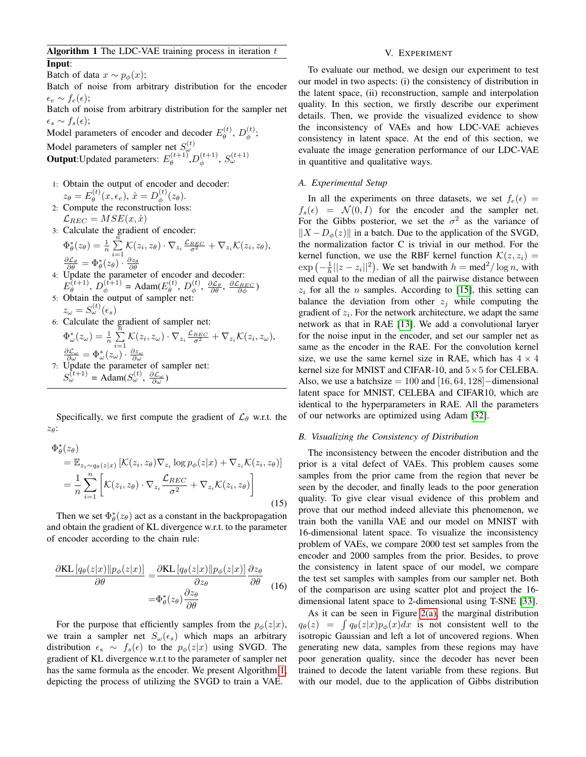# <span id="page-4-0"></span>Algorithm 1 The LDC-VAE training process in iteration  $t$

### V. EXPERIMENT

Input: Batch of data  $x \sim p_{\phi}(x)$ ;

Batch of noise from arbitrary distribution for the encoder  $\epsilon_e \sim f_e(\epsilon);$ 

Batch of noise from arbitrary distribution for the sampler net  $\epsilon_s \sim f_s(\epsilon);$ 

Model parameters of encoder and decoder  $E_{\theta}^{(t)}$  $\stackrel{(t)}{\theta},\stackrel{(t)}{D_\phi^{(t)}}$  $\phi^{(\iota)}$ ;

Model parameters of sampler net  $S_{\omega}^{(t)}$ **Output:**Updated parameters:  $E_{\theta}^{(t+1)}$  $\theta_\theta^{(t+1)}, D_\phi^{(t+1)}$  $\zeta_{\phi}^{(t+1)}, S_{\omega}^{(t+1)}$ 

- 1: Obtain the output of encoder and decoder:  $z_\theta=E_\theta^{(t)}$  $\overset{(t)}{\theta}(x,\epsilon_e),\, \hat{x}=D_{\phi}^{(t)}$  $\phi^{(t)}(z_\theta).$
- 2: Compute the reconstruction loss:  $\mathcal{L}_{REC} = MSE(x, \hat{x})$
- 3: Calculate the gradient of encoder:  $\Phi_{\theta}^*(z_{\theta}) = \frac{1}{n} \sum_{i=1}^{n}$  $\sum_{i=1}^{\infty}\mathcal{K}(z_i,z_{\theta})\cdot\nabla_{z_i}\frac{\mathcal{L}_{REC}}{\sigma^2}+\nabla_{z_i}\mathcal{K}(z_i,z_{\theta}),$  $\frac{\partial \mathcal{L}_{\theta}}{\partial \theta} = \Phi_{\theta}^{*}(z_{\theta}) \cdot \frac{\partial z_{\theta}}{\partial \theta}$ <br>4: Update the parameter of encoder and decoder:
- $E_{\theta}^{(t+1)}$  $\tilde{\theta}^{(t+1)}_{\theta}$ ,  $D^{(t+1)}_{\phi}$  $\phi^{(t+1)}$  = Adam $(E_{\theta}^{(t)})$  $\stackrel{(t)}{\theta},\stackrel{(t)}{D_\phi^{(t)}}$  $\frac{\partial \mathcal{L}_{\theta}}{\partial \theta}, \frac{\partial \mathcal{L}_{REC}}{\partial \phi})$

5: Obtain the output of sampler net:  
\n
$$
z_{\omega} = S_{\omega}^{(t)}(\epsilon_s)
$$
  
\n6: Calculate the gradient of sampler net:

6: Calculate the gradient of sampler net:  
\n
$$
\Phi_{\omega}^*(z_{\omega}) = \frac{1}{n} \sum_{i=1}^n \mathcal{K}(z_i, z_{\omega}) \cdot \nabla_{z_i} \frac{\mathcal{L}_{REC}}{\sigma^2} + \nabla_{z_i} \mathcal{K}(z_i, z_{\omega}),
$$
\n
$$
\frac{\partial \mathcal{L}_{\omega}}{\partial \omega} = \Phi_{\omega}^*(z_{\omega}) \cdot \frac{\partial z_{\omega}}{\partial \omega}
$$
\n7: Update the parameter of sampler net:  
\n
$$
S_{\omega}^{(t+1)} = \text{Adam}(S_{\omega}^{(t)}, \frac{\partial \mathcal{L}_{\omega}}{\partial \omega})
$$

Specifically, we first compute the gradient of  $\mathcal{L}_{\theta}$  w.r.t. the  $z_{\theta}$ :

$$
\Phi_{\theta}^{*}(z_{\theta}) = \mathbb{E}_{z_{i} \sim q_{\theta}(z|x)} \left[ \mathcal{K}(z_{i}, z_{\theta}) \nabla_{z_{i}} \log p_{\phi}(z|x) + \nabla_{z_{i}} \mathcal{K}(z_{i}, z_{\theta}) \right]
$$
\n
$$
= \frac{1}{n} \sum_{i=1}^{n} \left[ \mathcal{K}(z_{i}, z_{\theta}) \cdot \nabla_{z_{i}} \frac{\mathcal{L}_{REC}}{\sigma^{2}} + \nabla_{z_{i}} \mathcal{K}(z_{i}, z_{\theta}) \right]
$$
\n(15)

Then we set  $\Phi_{\theta}^{*}(z_{\theta})$  act as a constant in the backpropagation and obtain the gradient of KL divergence w.r.t. to the parameter of encoder according to the chain rule:

$$
\frac{\partial \text{KL}\left[q_{\theta}(z|x)\|p_{\phi}(z|x)\right]}{\partial \theta} = \frac{\partial \text{KL}\left[q_{\theta}(z|x)\|p_{\phi}(z|x)\right]}{\partial z_{\theta}} \frac{\partial z_{\theta}}{\partial \theta}
$$
\n
$$
= \Phi_{\theta}^{*}(z_{\theta}) \frac{\partial z_{\theta}}{\partial \theta}
$$
\n(16)

For the purpose that efficiently samples from the  $p_{\phi}(z|x)$ , we train a sampler net  $S_{\omega}(\epsilon_s)$  which maps an arbitrary distribution  $\epsilon_s \sim f_s(\epsilon)$  to the  $p_\phi(z|x)$  using SVGD. The gradient of KL divergence w.r.t to the parameter of sampler net has the same formula as the encoder. We present Algorithm [1,](#page-4-0) depicting the process of utilizing the SVGD to train a VAE.

To evaluate our method, we design our experiment to test our model in two aspects: (i) the consistency of distribution in the latent space, (ii) reconstruction, sample and interpolation quality. In this section, we firstly describe our experiment details. Then, we provide the visualized evidence to show the inconsistency of VAEs and how LDC-VAE achieves consistency in latent space. At the end of this section, we evaluate the image generation performance of our LDC-VAE in quantitive and qualitative ways.

### *A. Experimental Setup*

In all the experiments on three datasets, we set  $f_e(\epsilon)$  =  $f_s(\epsilon) = \mathcal{N}(0, I)$  for the encoder and the sampler net. For the Gibbs posterior, we set the  $\sigma^2$  as the variance of  $||X - D_{\phi}(z)||$  in a batch. Due to the application of the SVGD, the normalization factor C is trivial in our method. For the kernel function, we use the RBF kernel function  $\mathcal{K}(z, z_i) =$  $\exp(-\frac{1}{h}||z-z_i||^2)$ . We set bandwith  $h=\text{med}^2/\log n$ , with med equal to the median of all the pairwise distance between  $z_i$  for all the *n* samples. According to [\[15\]](#page-7-14), this setting can balance the deviation from other  $z_i$  while computing the gradient of  $z_i$ . For the network architecture, we adapt the same network as that in RAE [\[13\]](#page-7-12). We add a convolutional laryer for the noise input in the encoder, and set our sampler net as same as the encoder in the RAE. For the convolution kernel size, we use the same kernel size in RAE, which has  $4 \times 4$ kernel size for MNIST and CIFAR-10, and  $5 \times 5$  for CELEBA. Also, we use a batchsize =  $100$  and [16, 64, 128]–dimensional latent space for MNIST, CELEBA and CIFAR10, which are identical to the hyperparameters in RAE. All the parameters of our networks are optimized using Adam [\[32\]](#page-7-29).

# *B. Visualizing the Consistency of Distribution*

The inconsistency between the encoder distribution and the prior is a vital defect of VAEs. This problem causes some samples from the prior came from the region that never be seen by the decoder, and finally leads to the poor generation quality. To give clear visual evidence of this problem and prove that our method indeed alleviate this phenomenon, we train both the vanilla VAE and our model on MNIST with 16-dimensional latent space. To visualize the inconsistency problem of VAEs, we compare 2000 test set samples from the encoder and 2000 samples from the prior. Besides, to prove the consistency in latent space of our model, we compare the test set samples with samples from our sampler net. Both of the comparison are using scatter plot and project the 16 dimensional latent space to 2-dimensional using T-SNE [\[33\]](#page-7-30).

As it can be seen in Figure [2\(a\),](#page-5-0) the marginal distribution  $q_{\theta}(z) = \int q_{\theta}(z|x)p_{\phi}(x)dx$  is not consistent well to the isotropic Gaussian and left a lot of uncovered regions. When generating new data, samples from these regions may have poor generation quality, since the decoder has never been trained to decode the latent variable from these regions. But with our model, due to the application of Gibbs distribution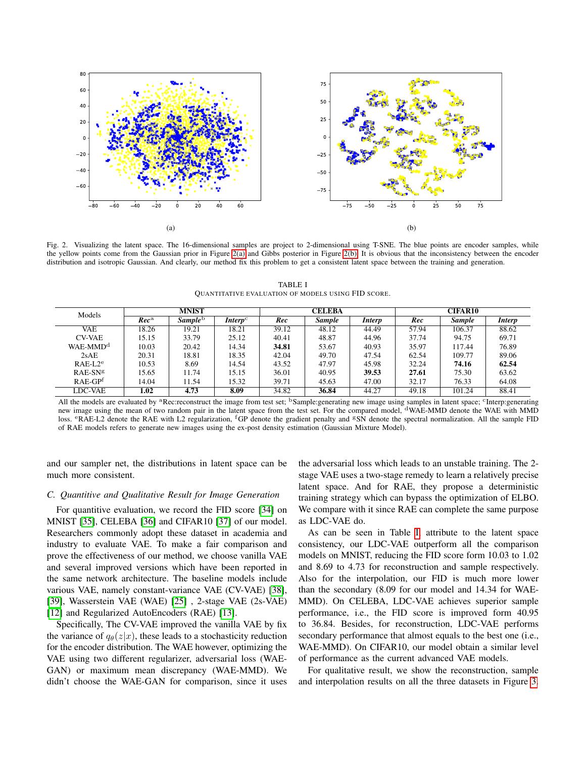<span id="page-5-0"></span>

Fig. 2. Visualizing the latent space. The 16-dimensional samples are project to 2-dimensional using T-SNE. The blue points are encoder samples, while the yellow points come from the Gaussian prior in Figure [2\(a\)](#page-5-0) and Gibbs posterior in Figure [2\(b\).](#page-5-1) It is obvious that the inconsistency between the encoder distribution and isotropic Gaussian. And clearly, our method fix this problem to get a consistent latent space between the training and generation.

<span id="page-5-1"></span>TABLE I QUANTITATIVE EVALUATION OF MODELS USING FID SCORE.

<span id="page-5-2"></span>

| Models               | <b>MNIST</b>  |                  |                     | CELEBA |               |               | <b>CIFAR10</b> |               |               |
|----------------------|---------------|------------------|---------------------|--------|---------------|---------------|----------------|---------------|---------------|
|                      | $Rec^{\rm a}$ | $Sample^{\circ}$ | Interp <sup>c</sup> | Rec    | <b>Sample</b> | <i>Interp</i> | Rec            | <b>Sample</b> | <i>Interp</i> |
| VAE                  | 18.26         | 19.21            | 18.21               | 39.12  | 48.12         | 44.49         | 57.94          | 106.37        | 88.62         |
| <b>CV-VAE</b>        | 15.15         | 33.79            | 25.12               | 40.41  | 48.87         | 44.96         | 37.74          | 94.75         | 69.71         |
| WAE-MMD <sup>d</sup> | 10.03         | 20.42            | 14.34               | 34.81  | 53.67         | 40.93         | 35.97          | 117.44        | 76.89         |
| 2sAE                 | 20.31         | 18.81            | 18.35               | 42.04  | 49.70         | 47.54         | 62.54          | 109.77        | 89.06         |
| $RAE-L2e$            | 10.53         | 8.69             | 14.54               | 43.52  | 47.97         | 45.98         | 32.24          | 74.16         | 62.54         |
| $RAE-SNg$            | 15.65         | 11.74            | 15.15               | 36.01  | 40.95         | 39.53         | 27.61          | 75.30         | 63.62         |
| $RAE-GPf$            | 14.04         | 1.54             | 15.32               | 39.71  | 45.63         | 47.00         | 32.17          | 76.33         | 64.08         |
| LDC-VAE              | 1.02          | 4.73             | 8.09                | 34.82  | 36.84         | 44.27         | 49.18          | 101.24        | 88.41         |

All the models are evaluated by <sup>a</sup>Rec:reconstruct the image from test set; <sup>b</sup>Sample:generating new image using samples in latent space; <sup>c</sup>Interp:generating new image using the mean of two random pair in the latent space from the test set. For the compared model, <sup>d</sup>WAE-MMD denote the WAE with MMD loss.  $P\overline{A}E$ -L2 denote the RAE with L2 regularization, <sup>f</sup>GP denote the gradient penalty and <sup>g</sup>SN denote the spectral normalization. All the sample FID of RAE models refers to generate new images using the ex-post density estimation (Gaussian Mixture Model).

and our sampler net, the distributions in latent space can be much more consistent.

### *C. Quantitive and Qualitative Result for Image Generation*

For quantitive evaluation, we record the FID score [\[34\]](#page-7-31) on MNIST [\[35\]](#page-7-32), CELEBA [\[36\]](#page-7-33) and CIFAR10 [\[37\]](#page-7-34) of our model. Researchers commonly adopt these dataset in academia and industry to evaluate VAE. To make a fair comparison and prove the effectiveness of our method, we choose vanilla VAE and several improved versions which have been reported in the same network architecture. The baseline models include various VAE, namely constant-variance VAE (CV-VAE) [\[38\]](#page-7-35), [\[39\]](#page-7-36), Wasserstein VAE (WAE) [\[25\]](#page-7-23) , 2-stage VAE (2s-VAE) [\[12\]](#page-7-11) and Regularized AutoEncoders (RAE) [\[13\]](#page-7-12).

Specifically, The CV-VAE improved the vanilla VAE by fix the variance of  $q_{\theta}(z|x)$ , these leads to a stochasticity reduction for the encoder distribution. The WAE however, optimizing the VAE using two different regularizer, adversarial loss (WAE-GAN) or maximum mean discrepancy (WAE-MMD). We didn't choose the WAE-GAN for comparison, since it uses the adversarial loss which leads to an unstable training. The 2 stage VAE uses a two-stage remedy to learn a relatively precise latent space. And for RAE, they propose a deterministic training strategy which can bypass the optimization of ELBO. We compare with it since RAE can complete the same purpose as LDC-VAE do.

As can be seen in Table [I,](#page-5-2) attribute to the latent space consistency, our LDC-VAE outperform all the comparison models on MNIST, reducing the FID score form 10.03 to 1.02 and 8.69 to 4.73 for reconstruction and sample respectively. Also for the interpolation, our FID is much more lower than the secondary (8.09 for our model and 14.34 for WAE-MMD). On CELEBA, LDC-VAE achieves superior sample performance, i.e., the FID score is improved form 40.95 to 36.84. Besides, for reconstruction, LDC-VAE performs secondary performance that almost equals to the best one (i.e., WAE-MMD). On CIFAR10, our model obtain a similar level of performance as the current advanced VAE models.

For qualitative result, we show the reconstruction, sample and interpolation results on all the three datasets in Figure [3.](#page-6-0)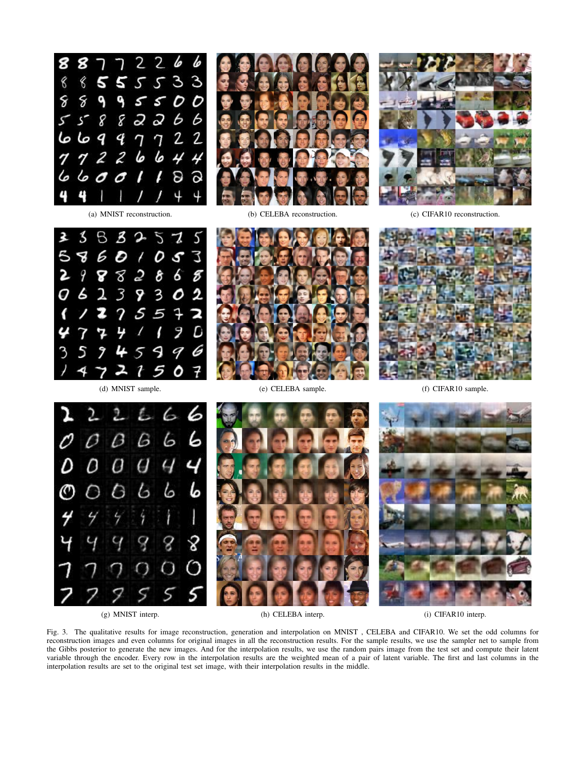



(a) MNIST reconstruction. (b) CELEBA reconstruction. (c) CIFAR10 reconstruction.















(g) MNIST interp. (h) CELEBA interp. (i) CIFAR10 interp.

<span id="page-6-0"></span>Fig. 3. The qualitative results for image reconstruction, generation and interpolation on MNIST , CELEBA and CIFAR10. We set the odd columns for reconstruction images and even columns for original images in all the reconstruction results. For the sample results, we use the sampler net to sample from the Gibbs posterior to generate the new images. And for the interpolation results, we use the random pairs image from the test set and compute their latent variable through the encoder. Every row in the interpolation results are the weighted mean of a pair of latent variable. The first and last columns in the interpolation results are set to the original test set image, with their interpolation results in the middle.